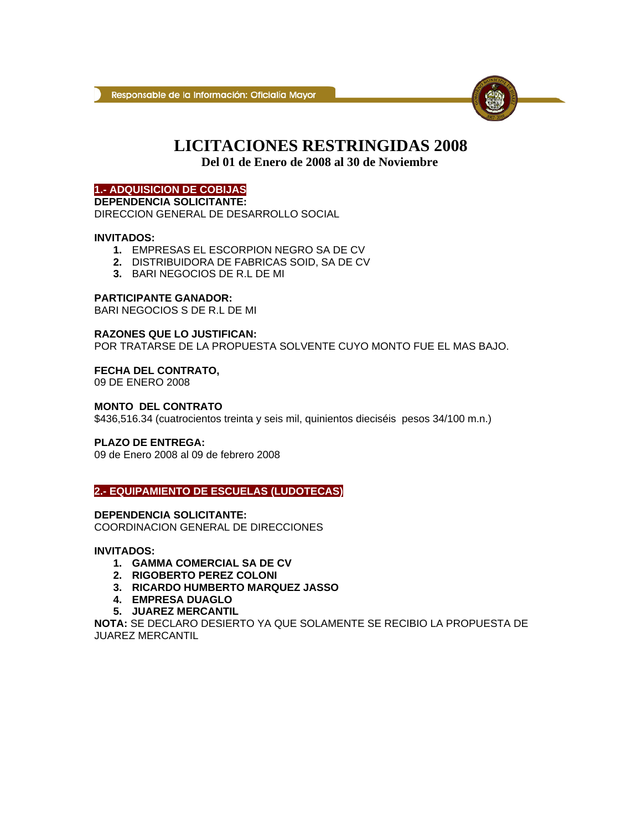

# **LICITACIONES RESTRINGIDAS 2008**

**Del 01 de Enero de 2008 al 30 de Noviembre**

# **1.- ADQUISICION DE COBIJAS**

**DEPENDENCIA SOLICITANTE:**  DIRECCION GENERAL DE DESARROLLO SOCIAL

# **INVITADOS:**

- **1.** EMPRESAS EL ESCORPION NEGRO SA DE CV
- **2.** DISTRIBUIDORA DE FABRICAS SOID, SA DE CV
- **3.** BARI NEGOCIOS DE R.L DE MI

# **PARTICIPANTE GANADOR:**

BARI NEGOCIOS S DE R.L DE MI

# **RAZONES QUE LO JUSTIFICAN:**

POR TRATARSE DE LA PROPUESTA SOLVENTE CUYO MONTO FUE EL MAS BAJO.

#### **FECHA DEL CONTRATO,**

09 DE ENERO 2008

#### **MONTO DEL CONTRATO**

\$436,516.34 (cuatrocientos treinta y seis mil, quinientos dieciséis pesos 34/100 m.n.)

# **PLAZO DE ENTREGA:**

09 de Enero 2008 al 09 de febrero 2008

# **2.- EQUIPAMIENTO DE ESCUELAS (LUDOTECAS)**

# **DEPENDENCIA SOLICITANTE:**

COORDINACION GENERAL DE DIRECCIONES

# **INVITADOS:**

- **1. GAMMA COMERCIAL SA DE CV**
- **2. RIGOBERTO PEREZ COLONI**
- **3. RICARDO HUMBERTO MARQUEZ JASSO**
- **4. EMPRESA DUAGLO**
- **5. JUAREZ MERCANTIL**

**NOTA:** SE DECLARO DESIERTO YA QUE SOLAMENTE SE RECIBIO LA PROPUESTA DE JUAREZ MERCANTIL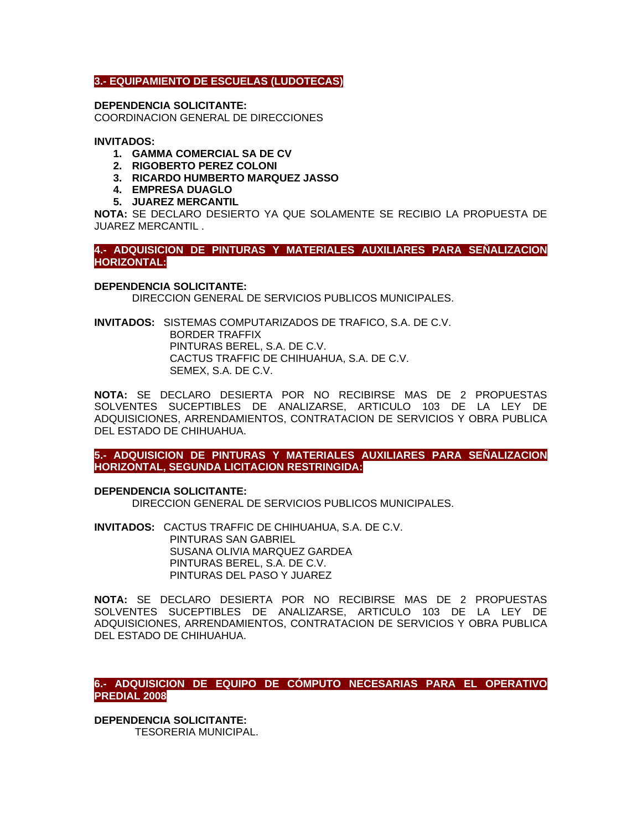# **3.- EQUIPAMIENTO DE ESCUELAS (LUDOTECAS)**

**DEPENDENCIA SOLICITANTE:**  COORDINACION GENERAL DE DIRECCIONES

#### **INVITADOS:**

- **1. GAMMA COMERCIAL SA DE CV**
- **2. RIGOBERTO PEREZ COLONI**
- **3. RICARDO HUMBERTO MARQUEZ JASSO**
- **4. EMPRESA DUAGLO**
- **5. JUAREZ MERCANTIL**

**NOTA:** SE DECLARO DESIERTO YA QUE SOLAMENTE SE RECIBIO LA PROPUESTA DE JUAREZ MERCANTIL .

# **4.- ADQUISICION DE PINTURAS Y MATERIALES AUXILIARES PARA SEÑALIZACION HORIZONTAL:**

#### **DEPENDENCIA SOLICITANTE:**

DIRECCION GENERAL DE SERVICIOS PUBLICOS MUNICIPALES.

**INVITADOS:** SISTEMAS COMPUTARIZADOS DE TRAFICO, S.A. DE C.V. BORDER TRAFFIX PINTURAS BEREL, S.A. DE C.V. CACTUS TRAFFIC DE CHIHUAHUA, S.A. DE C.V. SEMEX, S.A. DE C.V.

**NOTA:** SE DECLARO DESIERTA POR NO RECIBIRSE MAS DE 2 PROPUESTAS SOLVENTES SUCEPTIBLES DE ANALIZARSE, ARTICULO 103 DE LA LEY DE ADQUISICIONES, ARRENDAMIENTOS, CONTRATACION DE SERVICIOS Y OBRA PUBLICA DEL ESTADO DE CHIHUAHUA.

**5.- ADQUISICION DE PINTURAS Y MATERIALES AUXILIARES PARA SEÑALIZACION HORIZONTAL, SEGUNDA LICITACION RESTRINGIDA:** 

**DEPENDENCIA SOLICITANTE:**

DIRECCION GENERAL DE SERVICIOS PUBLICOS MUNICIPALES.

**INVITADOS:** CACTUS TRAFFIC DE CHIHUAHUA, S.A. DE C.V. PINTURAS SAN GABRIEL SUSANA OLIVIA MARQUEZ GARDEA PINTURAS BEREL, S.A. DE C.V. PINTURAS DEL PASO Y JUAREZ

**NOTA:** SE DECLARO DESIERTA POR NO RECIBIRSE MAS DE 2 PROPUESTAS SOLVENTES SUCEPTIBLES DE ANALIZARSE, ARTICULO 103 DE LA LEY DE ADQUISICIONES, ARRENDAMIENTOS, CONTRATACION DE SERVICIOS Y OBRA PUBLICA DEL ESTADO DE CHIHUAHUA.

**6.- ADQUISICION DE EQUIPO DE CÓMPUTO NECESARIAS PARA EL OPERATIVO PREDIAL 2008.** 

**DEPENDENCIA SOLICITANTE:**  TESORERIA MUNICIPAL.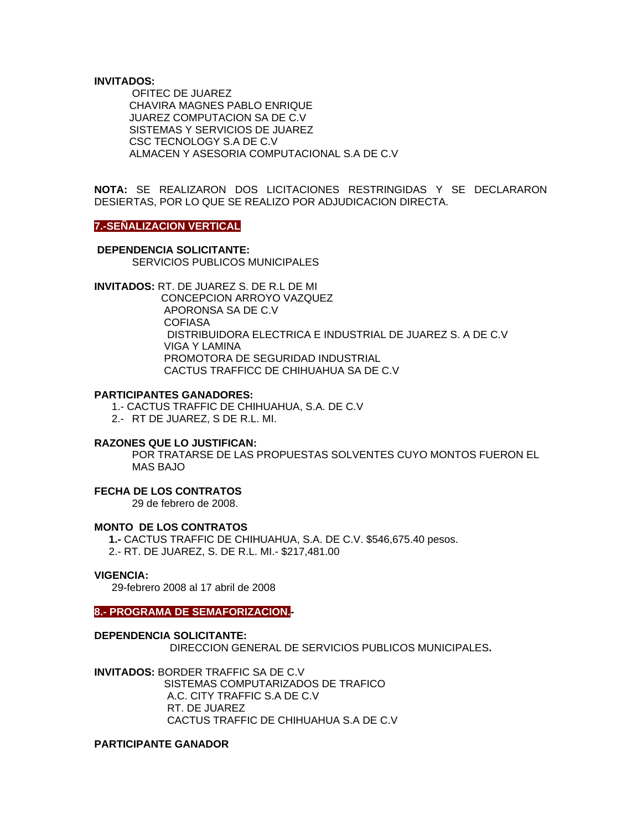#### **INVITADOS:**

 OFITEC DE JUAREZ CHAVIRA MAGNES PABLO ENRIQUE JUAREZ COMPUTACION SA DE C.V SISTEMAS Y SERVICIOS DE JUAREZ CSC TECNOLOGY S.A DE C.V ALMACEN Y ASESORIA COMPUTACIONAL S.A DE C.V

**NOTA:** SE REALIZARON DOS LICITACIONES RESTRINGIDAS Y SE DECLARARON DESIERTAS, POR LO QUE SE REALIZO POR ADJUDICACION DIRECTA.

#### **7.-SEÑALIZACION VERTICAL**

# **DEPENDENCIA SOLICITANTE:**

SERVICIOS PUBLICOS MUNICIPALES

**INVITADOS:** RT. DE JUAREZ S. DE R.L DE MI CONCEPCION ARROYO VAZQUEZ APORONSA SA DE C.V **COFIASA**  DISTRIBUIDORA ELECTRICA E INDUSTRIAL DE JUAREZ S. A DE C.V VIGA Y LAMINA PROMOTORA DE SEGURIDAD INDUSTRIAL CACTUS TRAFFICC DE CHIHUAHUA SA DE C.V

#### **PARTICIPANTES GANADORES:**

1.- CACTUS TRAFFIC DE CHIHUAHUA, S.A. DE C.V

2.- RT DE JUAREZ, S DE R.L. MI.

#### **RAZONES QUE LO JUSTIFICAN:**

POR TRATARSE DE LAS PROPUESTAS SOLVENTES CUYO MONTOS FUERON EL MAS BAJO

# **FECHA DE LOS CONTRATOS**

29 de febrero de 2008.

#### **MONTO DE LOS CONTRATOS**

 **1.-** CACTUS TRAFFIC DE CHIHUAHUA, S.A. DE C.V. \$546,675.40 pesos. 2.- RT. DE JUAREZ, S. DE R.L. MI.- \$217,481.00

#### **VIGENCIA:**

29-febrero 2008 al 17 abril de 2008

#### **8.- PROGRAMA DE SEMAFORIZACION.-**

**DEPENDENCIA SOLICITANTE:** DIRECCION GENERAL DE SERVICIOS PUBLICOS MUNICIPALES**.** 

**INVITADOS:** BORDER TRAFFIC SA DE C.V SISTEMAS COMPUTARIZADOS DE TRAFICO A.C. CITY TRAFFIC S.A DE C.V RT. DE JUAREZ CACTUS TRAFFIC DE CHIHUAHUA S.A DE C.V

#### **PARTICIPANTE GANADOR**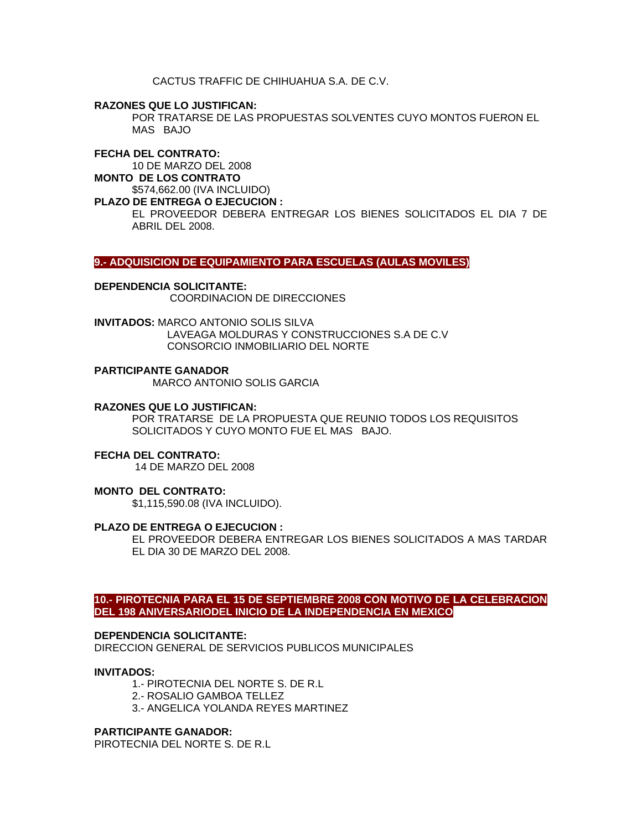CACTUS TRAFFIC DE CHIHUAHUA S.A. DE C.V.

**RAZONES QUE LO JUSTIFICAN:**

POR TRATARSE DE LAS PROPUESTAS SOLVENTES CUYO MONTOS FUERON EL MAS BAJO

# **FECHA DEL CONTRATO:**

10 DE MARZO DEL 2008

**MONTO DE LOS CONTRATO**  \$574,662.00 (IVA INCLUIDO)

# **PLAZO DE ENTREGA O EJECUCION :**

EL PROVEEDOR DEBERA ENTREGAR LOS BIENES SOLICITADOS EL DIA 7 DE ABRIL DEL 2008.

**9.- ADQUISICION DE EQUIPAMIENTO PARA ESCUELAS (AULAS MOVILES)** 

# **DEPENDENCIA SOLICITANTE:**

COORDINACION DE DIRECCIONES

**INVITADOS:** MARCO ANTONIO SOLIS SILVA LAVEAGA MOLDURAS Y CONSTRUCCIONES S.A DE C.V CONSORCIO INMOBILIARIO DEL NORTE

# **PARTICIPANTE GANADOR**

MARCO ANTONIO SOLIS GARCIA

# **RAZONES QUE LO JUSTIFICAN:**

POR TRATARSE DE LA PROPUESTA QUE REUNIO TODOS LOS REQUISITOS SOLICITADOS Y CUYO MONTO FUE EL MAS BAJO.

# **FECHA DEL CONTRATO:**

14 DE MARZO DEL 2008

# **MONTO DEL CONTRATO:**

\$1,115,590.08 (IVA INCLUIDO).

# **PLAZO DE ENTREGA O EJECUCION :**

EL PROVEEDOR DEBERA ENTREGAR LOS BIENES SOLICITADOS A MAS TARDAR EL DIA 30 DE MARZO DEL 2008.

# **10.- PIROTECNIA PARA EL 15 DE SEPTIEMBRE 2008 CON MOTIVO DE LA CELEBRACION DEL 198 ANIVERSARIODEL INICIO DE LA INDEPENDENCIA EN MEXICO**

# **DEPENDENCIA SOLICITANTE:**

DIRECCION GENERAL DE SERVICIOS PUBLICOS MUNICIPALES

# **INVITADOS:**

- 1.- PIROTECNIA DEL NORTE S. DE R.L
- 2.- ROSALIO GAMBOA TELLEZ
- 3.- ANGELICA YOLANDA REYES MARTINEZ

# **PARTICIPANTE GANADOR:**

PIROTECNIA DEL NORTE S. DE R.L